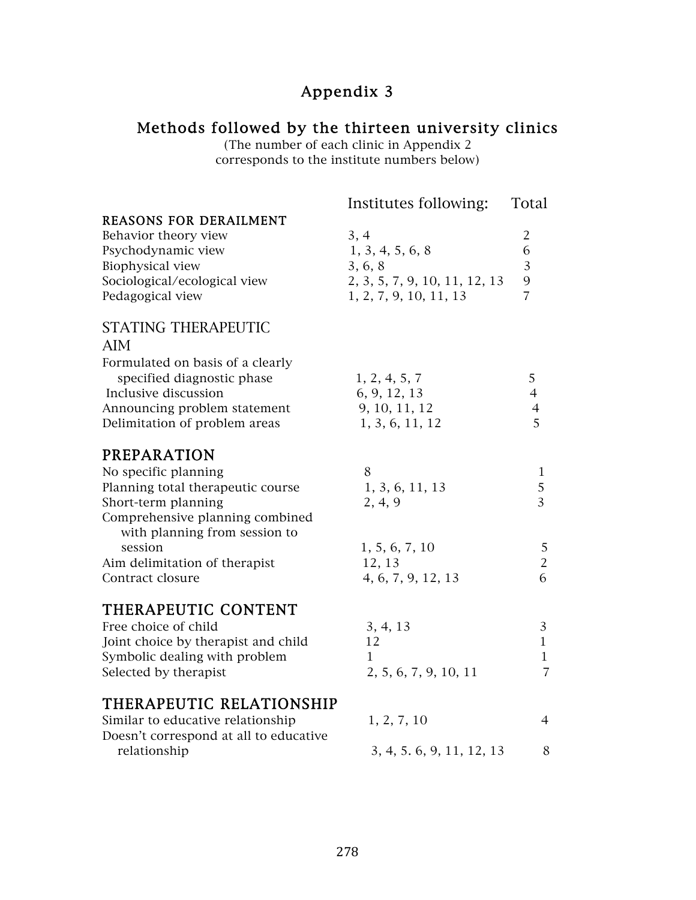# Appendix 3

## Methods followed by the thirteen university clinics

(The number of each clinic in Appendix 2 corresponds to the institute numbers below)

|                                        | Institutes following:         | Total          |
|----------------------------------------|-------------------------------|----------------|
| <b>REASONS FOR DERAILMENT</b>          |                               |                |
| Behavior theory view                   | 3, 4                          | $\overline{2}$ |
| Psychodynamic view                     | 1, 3, 4, 5, 6, 8              | 6              |
| Biophysical view                       | 3, 6, 8                       | 3              |
| Sociological/ecological view           | 2, 3, 5, 7, 9, 10, 11, 12, 13 | 9              |
| Pedagogical view                       | 1, 2, 7, 9, 10, 11, 13        | $\overline{7}$ |
| <b>STATING THERAPEUTIC</b>             |                               |                |
| AIM                                    |                               |                |
| Formulated on basis of a clearly       |                               |                |
| specified diagnostic phase             | 1, 2, 4, 5, 7                 | 5              |
| Inclusive discussion                   | 6, 9, 12, 13                  | $\overline{4}$ |
| Announcing problem statement           | 9, 10, 11, 12                 | $\overline{4}$ |
| Delimitation of problem areas          | 1, 3, 6, 11, 12               | 5              |
| PREPARATION                            |                               |                |
| No specific planning                   | 8                             | 1              |
| Planning total therapeutic course      | 1, 3, 6, 11, 13               | $\sqrt{5}$     |
| Short-term planning                    | 2, 4, 9                       | $\overline{3}$ |
| Comprehensive planning combined        |                               |                |
| with planning from session to          |                               |                |
| session                                | 1, 5, 6, 7, 10                | 5              |
| Aim delimitation of therapist          | 12, 13                        | $\overline{2}$ |
| Contract closure                       | 4, 6, 7, 9, 12, 13            | 6              |
| THERAPEUTIC CONTENT                    |                               |                |
| Free choice of child                   | 3, 4, 13                      | 3              |
| Joint choice by therapist and child    | 12                            | $\mathbf{1}$   |
| Symbolic dealing with problem          | $\mathbf{1}$                  | $\mathbf{1}$   |
| Selected by therapist                  | 2, 5, 6, 7, 9, 10, 11         | $\overline{7}$ |
| THERAPEUTIC RELATIONSHIP               |                               |                |
| Similar to educative relationship      | 1, 2, 7, 10                   | $\overline{4}$ |
| Doesn't correspond at all to educative |                               |                |
| relationship                           | 3, 4, 5, 6, 9, 11, 12, 13     | 8              |